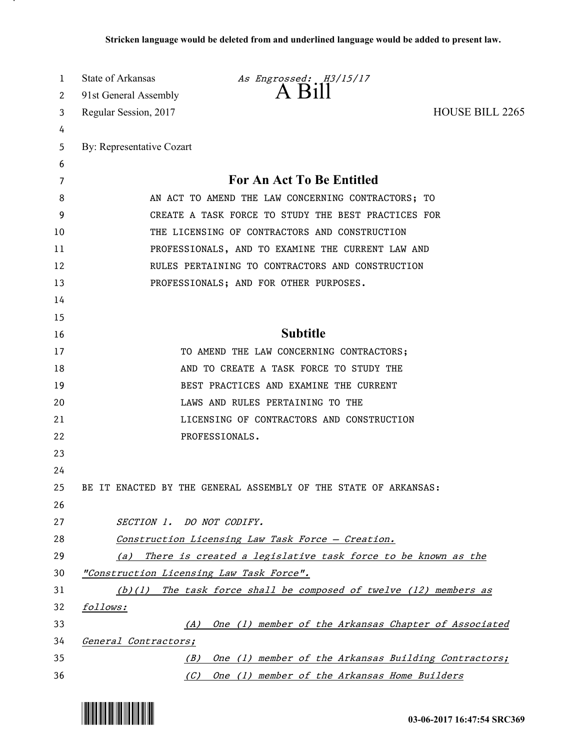| 1        | State of Arkansas                        | As Engrossed: H3/15/17<br>$A$ $B1$                                  |                        |
|----------|------------------------------------------|---------------------------------------------------------------------|------------------------|
| 2        | 91st General Assembly                    |                                                                     |                        |
| 3        | Regular Session, 2017                    |                                                                     | <b>HOUSE BILL 2265</b> |
| 4        |                                          |                                                                     |                        |
| 5        | By: Representative Cozart                |                                                                     |                        |
| 6        |                                          |                                                                     |                        |
| 7        |                                          | <b>For An Act To Be Entitled</b>                                    |                        |
| 8        |                                          | AN ACT TO AMEND THE LAW CONCERNING CONTRACTORS; TO                  |                        |
| 9        |                                          | CREATE A TASK FORCE TO STUDY THE BEST PRACTICES FOR                 |                        |
| 10       |                                          | THE LICENSING OF CONTRACTORS AND CONSTRUCTION                       |                        |
| 11       |                                          | PROFESSIONALS, AND TO EXAMINE THE CURRENT LAW AND                   |                        |
| 12       |                                          | RULES PERTAINING TO CONTRACTORS AND CONSTRUCTION                    |                        |
| 13       |                                          | PROFESSIONALS; AND FOR OTHER PURPOSES.                              |                        |
| 14       |                                          |                                                                     |                        |
| 15<br>16 |                                          | <b>Subtitle</b>                                                     |                        |
| 17       |                                          | TO AMEND THE LAW CONCERNING CONTRACTORS;                            |                        |
| 18       |                                          | AND TO CREATE A TASK FORCE TO STUDY THE                             |                        |
| 19       |                                          | BEST PRACTICES AND EXAMINE THE CURRENT                              |                        |
| 20       |                                          | LAWS AND RULES PERTAINING TO THE                                    |                        |
| 21       |                                          | LICENSING OF CONTRACTORS AND CONSTRUCTION                           |                        |
| 22       |                                          | PROFESSIONALS.                                                      |                        |
| 23       |                                          |                                                                     |                        |
| 24       |                                          |                                                                     |                        |
| 25       |                                          | BE IT ENACTED BY THE GENERAL ASSEMBLY OF THE STATE OF ARKANSAS:     |                        |
| 26       |                                          |                                                                     |                        |
| 27       | SECTION 1. DO NOT CODIFY.                |                                                                     |                        |
| 28       |                                          | Construction Licensing Law Task Force - Creation.                   |                        |
| 29       | (a)                                      | There is created a legislative task force to be known as the        |                        |
| 30       | "Construction Licensing Law Task Force". |                                                                     |                        |
| 31       |                                          | $(b)(1)$ The task force shall be composed of twelve (12) members as |                        |
| 32       | follows:                                 |                                                                     |                        |
| 33       | (A)                                      | One (1) member of the Arkansas Chapter of Associated                |                        |
| 34       | General Contractors;                     |                                                                     |                        |
| 35       | (B)                                      | One (1) member of the Arkansas Building Contractors;                |                        |
| 36       | (C)                                      | One (1) member of the Arkansas Home Builders                        |                        |



.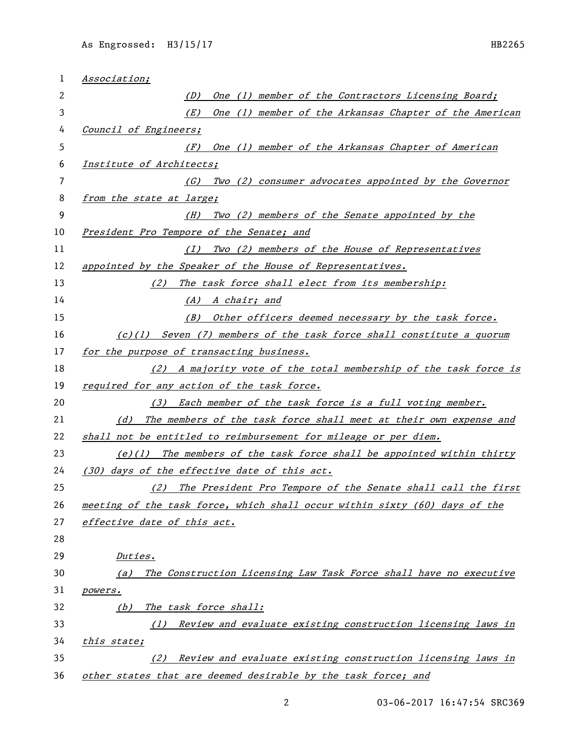| 1  | Association;                                                               |  |  |
|----|----------------------------------------------------------------------------|--|--|
| 2  | One (1) member of the Contractors Licensing Board;<br>(D)                  |  |  |
| 3  | One (1) member of the Arkansas Chapter of the American<br>(E)              |  |  |
| 4  | Council of Engineers;                                                      |  |  |
| 5  | One (1) member of the Arkansas Chapter of American<br>(F)                  |  |  |
| 6  | Institute of Architects;                                                   |  |  |
| 7  | Two (2) consumer advocates appointed by the Governor<br>(G)                |  |  |
| 8  | from the state at large;                                                   |  |  |
| 9  | Two (2) members of the Senate appointed by the<br>(H)                      |  |  |
| 10 | President Pro Tempore of the Senate; and                                   |  |  |
| 11 | Two (2) members of the House of Representatives<br>(I)                     |  |  |
| 12 | appointed by the Speaker of the House of Representatives.                  |  |  |
| 13 | The task force shall elect from its membership:<br>(2)                     |  |  |
| 14 | (A) A chair; and                                                           |  |  |
| 15 | (B) Other officers deemed necessary by the task force.                     |  |  |
| 16 | $(c)(1)$ Seven (7) members of the task force shall constitute a quorum     |  |  |
| 17 | for the purpose of transacting business.                                   |  |  |
| 18 | (2) A majority vote of the total membership of the task force is           |  |  |
| 19 | required for any action of the task force.                                 |  |  |
| 20 | (3) Each member of the task force is a full voting member.                 |  |  |
| 21 | The members of the task force shall meet at their own expense and<br>(d)   |  |  |
| 22 | shall not be entitled to reimbursement for mileage or per diem.            |  |  |
| 23 | $(e)(1)$ The members of the task force shall be appointed within thirty    |  |  |
| 24 | (30) days of the effective date of this act.                               |  |  |
| 25 | (2) The President Pro Tempore of the Senate shall call the first           |  |  |
| 26 | meeting of the task force, which shall occur within sixty (60) days of the |  |  |
| 27 | effective date of this act.                                                |  |  |
| 28 |                                                                            |  |  |
| 29 | Duties.                                                                    |  |  |
| 30 | The Construction Licensing Law Task Force shall have no executive<br>(a)   |  |  |
| 31 | <i>powers.</i>                                                             |  |  |
| 32 | The task force shall:<br>(b)                                               |  |  |
| 33 | Review and evaluate existing construction licensing laws in<br>(1)         |  |  |
| 34 | <u>this state;</u>                                                         |  |  |
| 35 | Review and evaluate existing construction licensing laws in<br>(2)         |  |  |
| 36 | other states that are deemed desirable by the task force; and              |  |  |

03-06-2017 16:47:54 SRC369